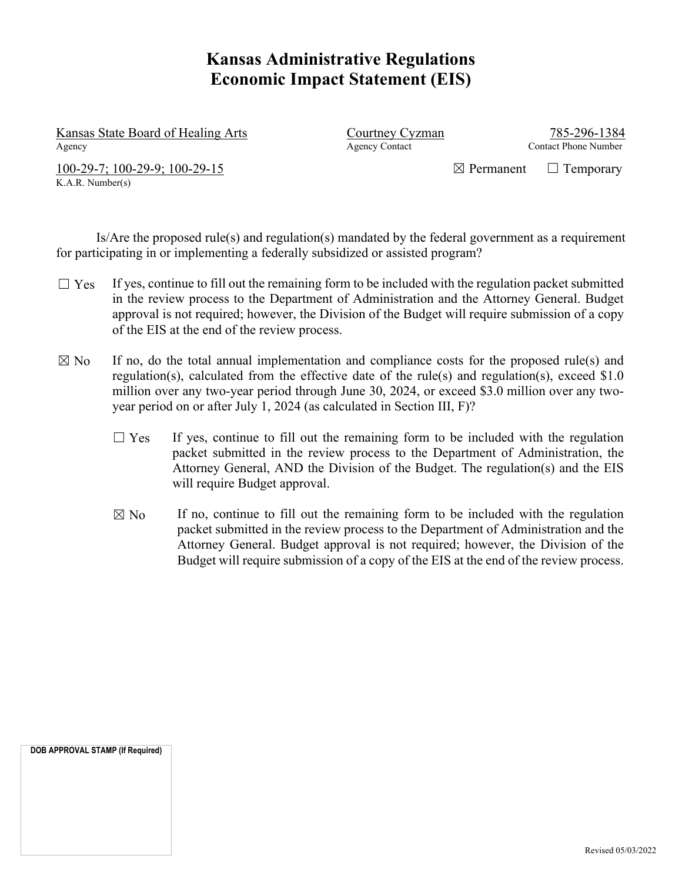# **Kansas Administrative Regulations Economic Impact Statement (EIS)**

Kansas State Board of Healing Arts Courtney Cyzman Courtney Cyzman 785-296-1384 Agency Agency Contact Contact Phone Number

K.A.R. Number(s)

 $100-29-7$ ;  $100-29-9$ ;  $100-29-15$   $\Box$  Permanent  $\Box$  Temporary

 Is/Are the proposed rule(s) and regulation(s) mandated by the federal government as a requirement for participating in or implementing a federally subsidized or assisted program?

- $\Box$  Yes If yes, continue to fill out the remaining form to be included with the regulation packet submitted in the review process to the Department of Administration and the Attorney General. Budget approval is not required; however, the Division of the Budget will require submission of a copy of the EIS at the end of the review process.
- $\boxtimes$  No If no, do the total annual implementation and compliance costs for the proposed rule(s) and regulation(s), calculated from the effective date of the rule(s) and regulation(s), exceed \$1.0 million over any two-year period through June 30, 2024, or exceed \$3.0 million over any twoyear period on or after July 1, 2024 (as calculated in Section III, F)?
	- $\Box$  Yes If yes, continue to fill out the remaining form to be included with the regulation packet submitted in the review process to the Department of Administration, the Attorney General, AND the Division of the Budget. The regulation(s) and the EIS will require Budget approval.
	- $\boxtimes$  No If no, continue to fill out the remaining form to be included with the regulation packet submitted in the review process to the Department of Administration and the Attorney General. Budget approval is not required; however, the Division of the Budget will require submission of a copy of the EIS at the end of the review process.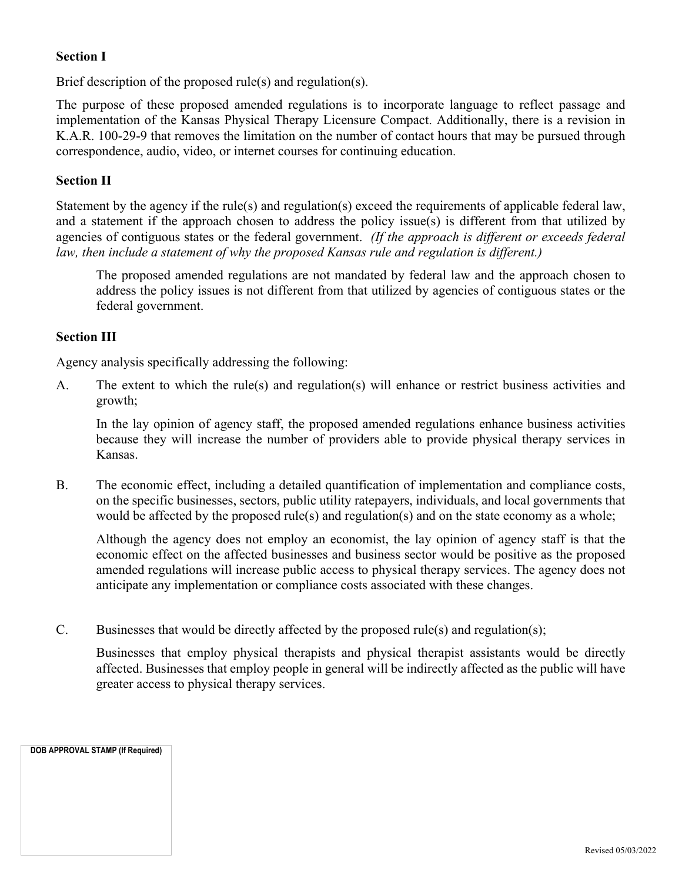### **Section I**

Brief description of the proposed rule(s) and regulation(s).

The purpose of these proposed amended regulations is to incorporate language to reflect passage and implementation of the Kansas Physical Therapy Licensure Compact. Additionally, there is a revision in K.A.R. 100-29-9 that removes the limitation on the number of contact hours that may be pursued through correspondence, audio, video, or internet courses for continuing education.

#### **Section II**

Statement by the agency if the rule(s) and regulation(s) exceed the requirements of applicable federal law, and a statement if the approach chosen to address the policy issue(s) is different from that utilized by agencies of contiguous states or the federal government. *(If the approach is different or exceeds federal law, then include a statement of why the proposed Kansas rule and regulation is different.)*

The proposed amended regulations are not mandated by federal law and the approach chosen to address the policy issues is not different from that utilized by agencies of contiguous states or the federal government.

#### **Section III**

Agency analysis specifically addressing the following:

A. The extent to which the rule(s) and regulation(s) will enhance or restrict business activities and growth;

In the lay opinion of agency staff, the proposed amended regulations enhance business activities because they will increase the number of providers able to provide physical therapy services in Kansas.

B. The economic effect, including a detailed quantification of implementation and compliance costs, on the specific businesses, sectors, public utility ratepayers, individuals, and local governments that would be affected by the proposed rule(s) and regulation(s) and on the state economy as a whole;

Although the agency does not employ an economist, the lay opinion of agency staff is that the economic effect on the affected businesses and business sector would be positive as the proposed amended regulations will increase public access to physical therapy services. The agency does not anticipate any implementation or compliance costs associated with these changes.

C. Businesses that would be directly affected by the proposed rule(s) and regulation(s);

Businesses that employ physical therapists and physical therapist assistants would be directly affected. Businesses that employ people in general will be indirectly affected as the public will have greater access to physical therapy services.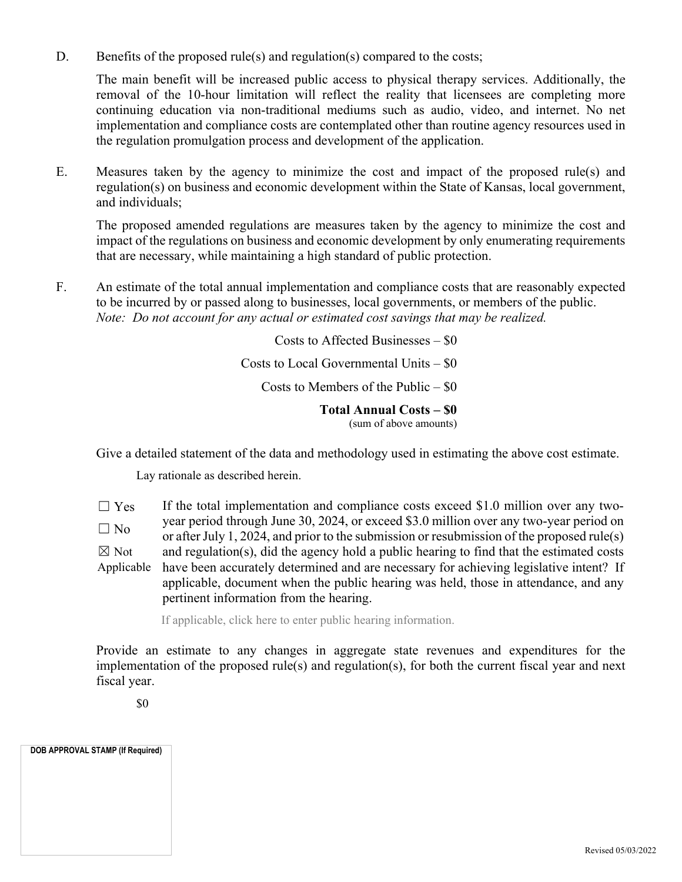D. Benefits of the proposed rule(s) and regulation(s) compared to the costs;

The main benefit will be increased public access to physical therapy services. Additionally, the removal of the 10-hour limitation will reflect the reality that licensees are completing more continuing education via non-traditional mediums such as audio, video, and internet. No net implementation and compliance costs are contemplated other than routine agency resources used in the regulation promulgation process and development of the application.

E. Measures taken by the agency to minimize the cost and impact of the proposed rule(s) and regulation(s) on business and economic development within the State of Kansas, local government, and individuals;

The proposed amended regulations are measures taken by the agency to minimize the cost and impact of the regulations on business and economic development by only enumerating requirements that are necessary, while maintaining a high standard of public protection.

F. An estimate of the total annual implementation and compliance costs that are reasonably expected to be incurred by or passed along to businesses, local governments, or members of the public. *Note: Do not account for any actual or estimated cost savings that may be realized.*

Costs to Affected Businesses – \$0

Costs to Local Governmental Units – \$0

Costs to Members of the Public  $-$  \$0

**Total Annual Costs – \$0**  (sum of above amounts)

Give a detailed statement of the data and methodology used in estimating the above cost estimate.

Lay rationale as described herein.

 $\Box$  Yes  $\Box$  No ☒ Not Applicable If the total implementation and compliance costs exceed \$1.0 million over any twoyear period through June 30, 2024, or exceed \$3.0 million over any two-year period on or after July 1, 2024, and prior to the submission or resubmission of the proposed rule(s) and regulation(s), did the agency hold a public hearing to find that the estimated costs have been accurately determined and are necessary for achieving legislative intent? If applicable, document when the public hearing was held, those in attendance, and any pertinent information from the hearing.

If applicable, click here to enter public hearing information.

Provide an estimate to any changes in aggregate state revenues and expenditures for the implementation of the proposed rule(s) and regulation(s), for both the current fiscal year and next fiscal year.

\$0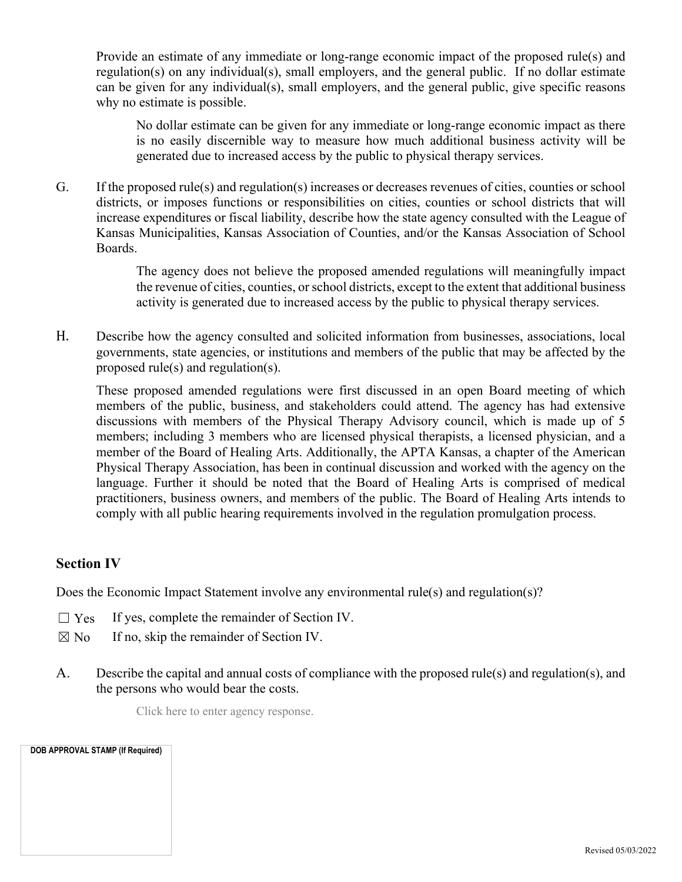Provide an estimate of any immediate or long-range economic impact of the proposed rule(s) and regulation(s) on any individual(s), small employers, and the general public. If no dollar estimate can be given for any individual(s), small employers, and the general public, give specific reasons why no estimate is possible.

No dollar estimate can be given for any immediate or long-range economic impact as there is no easily discernible way to measure how much additional business activity will be generated due to increased access by the public to physical therapy services.

G. If the proposed rule(s) and regulation(s) increases or decreases revenues of cities, counties or school districts, or imposes functions or responsibilities on cities, counties or school districts that will increase expenditures or fiscal liability, describe how the state agency consulted with the League of Kansas Municipalities, Kansas Association of Counties, and/or the Kansas Association of School Boards.

> The agency does not believe the proposed amended regulations will meaningfully impact the revenue of cities, counties, or school districts, except to the extent that additional business activity is generated due to increased access by the public to physical therapy services.

H. Describe how the agency consulted and solicited information from businesses, associations, local governments, state agencies, or institutions and members of the public that may be affected by the proposed rule(s) and regulation(s).

These proposed amended regulations were first discussed in an open Board meeting of which members of the public, business, and stakeholders could attend. The agency has had extensive discussions with members of the Physical Therapy Advisory council, which is made up of 5 members; including 3 members who are licensed physical therapists, a licensed physician, and a member of the Board of Healing Arts. Additionally, the APTA Kansas, a chapter of the American Physical Therapy Association, has been in continual discussion and worked with the agency on the language. Further it should be noted that the Board of Healing Arts is comprised of medical practitioners, business owners, and members of the public. The Board of Healing Arts intends to comply with all public hearing requirements involved in the regulation promulgation process.

## **Section IV**

Does the Economic Impact Statement involve any environmental rule(s) and regulation(s)?

- $\Box$  Yes If yes, complete the remainder of Section IV.
- $\boxtimes$  No If no, skip the remainder of Section IV.
- A. Describe the capital and annual costs of compliance with the proposed rule(s) and regulation(s), and the persons who would bear the costs.

Click here to enter agency response.